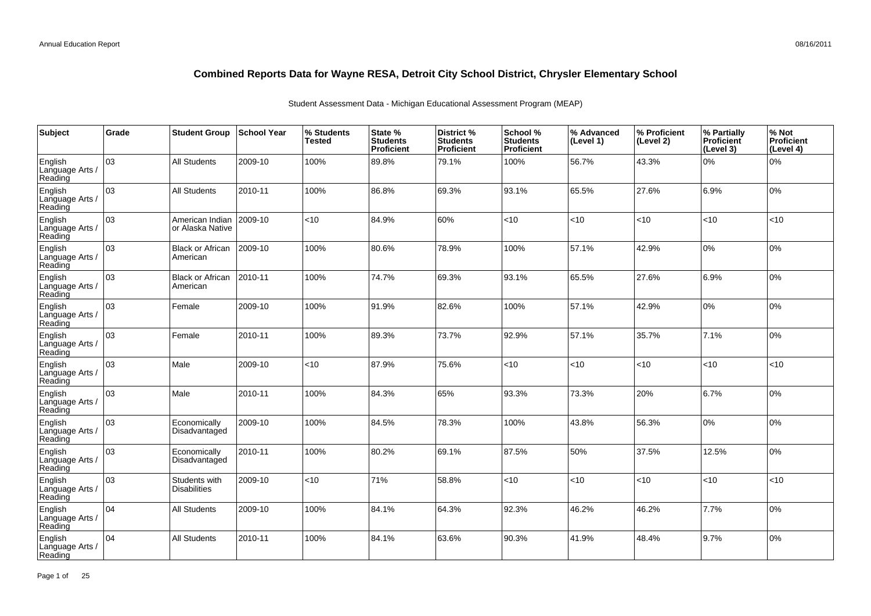| Subject                               | Grade | <b>Student Group</b>                 | <b>School Year</b> | % Students<br><b>Tested</b> | State %<br><b>Students</b><br>Proficient | District %<br><b>Students</b><br>Proficient | School %<br><b>Students</b><br><b>Proficient</b> | % Advanced<br>(Level 1) | │% Proficient<br>(Level 2) | % Partially<br>Proficient<br>(Level 3) | % Not<br>Proficient<br>(Level 4) |
|---------------------------------------|-------|--------------------------------------|--------------------|-----------------------------|------------------------------------------|---------------------------------------------|--------------------------------------------------|-------------------------|----------------------------|----------------------------------------|----------------------------------|
| English<br>Language Arts /<br>Reading | 03    | <b>All Students</b>                  | 2009-10            | 100%                        | 89.8%                                    | 79.1%                                       | 100%                                             | 56.7%                   | 43.3%                      | 0%                                     | 0%                               |
| English<br>Language Arts /<br>Reading | lоз   | <b>All Students</b>                  | 2010-11            | 100%                        | 86.8%                                    | 69.3%                                       | 93.1%                                            | 65.5%                   | 27.6%                      | 6.9%                                   | 0%                               |
| English<br>Language Arts /<br>Reading | 03    | American Indian<br>or Alaska Native  | 2009-10            | <10                         | 84.9%                                    | 60%                                         | < 10                                             | < 10                    | < 10                       | < 10                                   | <10                              |
| English<br>Language Arts /<br>Reading | оз    | <b>Black or African</b><br>American  | 2009-10            | 100%                        | 80.6%                                    | 78.9%                                       | 100%                                             | 57.1%                   | 42.9%                      | 0%                                     | 0%                               |
| English<br>Language Arts /<br>Reading | 03    | <b>Black or African</b><br>American  | 2010-11            | 100%                        | 74.7%                                    | 69.3%                                       | 93.1%                                            | 65.5%                   | 27.6%                      | 6.9%                                   | 0%                               |
| English<br>Language Arts /<br>Reading | 03    | Female                               | 2009-10            | 100%                        | 91.9%                                    | 82.6%                                       | 100%                                             | 57.1%                   | 42.9%                      | 0%                                     | 0%                               |
| English<br>Language Arts /<br>Reading | 03    | Female                               | 2010-11            | 100%                        | 89.3%                                    | 73.7%                                       | 92.9%                                            | 57.1%                   | 35.7%                      | 7.1%                                   | 0%                               |
| English<br>Language Arts /<br>Reading | 03    | Male                                 | 2009-10            | <10                         | 87.9%                                    | 75.6%                                       | <10                                              | <10                     | < 10                       | <10                                    | <10                              |
| English<br>Language Arts /<br>Reading | 03    | Male                                 | 2010-11            | 100%                        | 84.3%                                    | 65%                                         | 93.3%                                            | 73.3%                   | 20%                        | 6.7%                                   | 0%                               |
| English<br>Language Arts /<br>Reading | 03    | Economically<br>Disadvantaged        | 2009-10            | 100%                        | 84.5%                                    | 78.3%                                       | 100%                                             | 43.8%                   | 56.3%                      | 0%                                     | 0%                               |
| English<br>Language Arts /<br>Reading | lоз   | Economically<br>Disadvantaged        | 2010-11            | 100%                        | 80.2%                                    | 69.1%                                       | 87.5%                                            | 50%                     | 37.5%                      | 12.5%                                  | 0%                               |
| English<br>Language Arts /<br>Reading | 03    | Students with<br><b>Disabilities</b> | 2009-10            | <10                         | 71%                                      | 58.8%                                       | <10                                              | < 10                    | <10                        | < 10                                   | <10                              |
| English<br>Language Arts /<br>Reading | 104   | <b>All Students</b>                  | 2009-10            | 100%                        | 84.1%                                    | 64.3%                                       | 92.3%                                            | 46.2%                   | 46.2%                      | 7.7%                                   | 0%                               |
| English<br>Language Arts<br>Reading   | 04    | <b>All Students</b>                  | 2010-11            | 100%                        | 84.1%                                    | 63.6%                                       | 90.3%                                            | 41.9%                   | 48.4%                      | 9.7%                                   | 0%                               |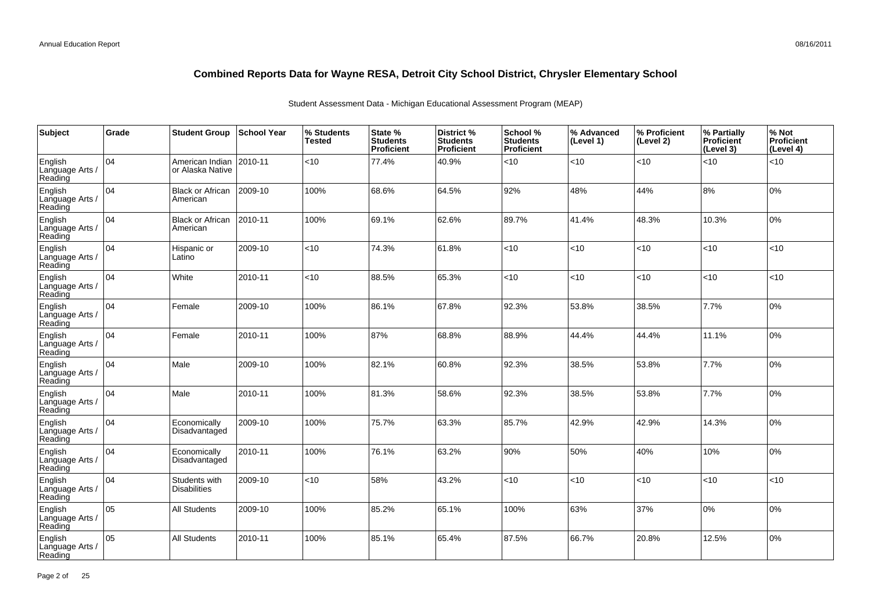| Subject                               | Grade | <b>Student Group</b>                 | <b>School Year</b> | % Students<br><b>Tested</b> | State %<br><b>Students</b><br>Proficient | District %<br><b>Students</b><br><b>Proficient</b> | School %<br><b>Students</b><br><b>Proficient</b> | % Advanced<br>(Level 1) | % Proficient<br>(Level 2) | % Partially<br><b>Proficient</b><br>(Level 3) | % Not<br>Proficient<br>(Level 4) |
|---------------------------------------|-------|--------------------------------------|--------------------|-----------------------------|------------------------------------------|----------------------------------------------------|--------------------------------------------------|-------------------------|---------------------------|-----------------------------------------------|----------------------------------|
| English<br>Language Arts /<br>Reading | 104   | American Indian<br>or Alaska Native  | 2010-11            | < 10                        | 77.4%                                    | 40.9%                                              | $<$ 10                                           | < 10                    | <10                       | <10                                           | < 10                             |
| English<br>Language Arts /<br>Reading | 104   | <b>Black or African</b><br>American  | 2009-10            | 100%                        | 68.6%                                    | 64.5%                                              | 92%                                              | 48%                     | 44%                       | 8%                                            | 10%                              |
| English<br>Language Arts /<br>Reading | 104   | <b>Black or African</b><br>American  | 2010-11            | 100%                        | 69.1%                                    | 62.6%                                              | 89.7%                                            | 41.4%                   | 48.3%                     | 10.3%                                         | 0%                               |
| English<br>Language Arts /<br>Reading | 104   | Hispanic or<br>Latino                | 2009-10            | $<$ 10                      | 74.3%                                    | 61.8%                                              | <10                                              | <10                     | <10                       | <10                                           | <10                              |
| English<br>Language Arts /<br>Reading | 104   | White                                | 2010-11            | <10                         | 88.5%                                    | 65.3%                                              | < 10                                             | < 10                    | <10                       | <10                                           | <10                              |
| English<br>Language Arts /<br>Reading | 104   | Female                               | 2009-10            | 100%                        | 86.1%                                    | 67.8%                                              | 92.3%                                            | 53.8%                   | 38.5%                     | 7.7%                                          | 0%                               |
| English<br>Language Arts /<br>Reading | 104   | Female                               | 2010-11            | 100%                        | 87%                                      | 68.8%                                              | 88.9%                                            | 44.4%                   | 44.4%                     | 11.1%                                         | 0%                               |
| English<br>Language Arts<br>Reading   | 04    | Male                                 | 2009-10            | 100%                        | 82.1%                                    | 60.8%                                              | 92.3%                                            | 38.5%                   | 53.8%                     | 7.7%                                          | 0%                               |
| English<br>Language Arts /<br>Reading | 104   | Male                                 | 2010-11            | 100%                        | 81.3%                                    | 58.6%                                              | 92.3%                                            | 38.5%                   | 53.8%                     | 7.7%                                          | 0%                               |
| English<br>Language Arts /<br>Reading | 04    | Economically<br>Disadvantaged        | 2009-10            | 100%                        | 75.7%                                    | 63.3%                                              | 85.7%                                            | 42.9%                   | 42.9%                     | 14.3%                                         | 0%                               |
| English<br>Language Arts /<br>Reading | 104   | Economically<br>Disadvantaged        | 2010-11            | 100%                        | 76.1%                                    | 63.2%                                              | 90%                                              | 50%                     | 40%                       | 10%                                           | 10%                              |
| English<br>Language Arts /<br>Reading | 04    | Students with<br><b>Disabilities</b> | 2009-10            | <10                         | 58%                                      | 43.2%                                              | $<$ 10                                           | < 10                    | < 10                      | $<10$                                         | <10                              |
| English<br>Language Arts /<br>Reading | lo5   | <b>All Students</b>                  | 2009-10            | 100%                        | 85.2%                                    | 65.1%                                              | 100%                                             | 63%                     | 37%                       | 0%                                            | 0%                               |
| English<br>Language Arts<br>Reading   | 05    | All Students                         | 2010-11            | 100%                        | 85.1%                                    | 65.4%                                              | 87.5%                                            | 66.7%                   | 20.8%                     | 12.5%                                         | 0%                               |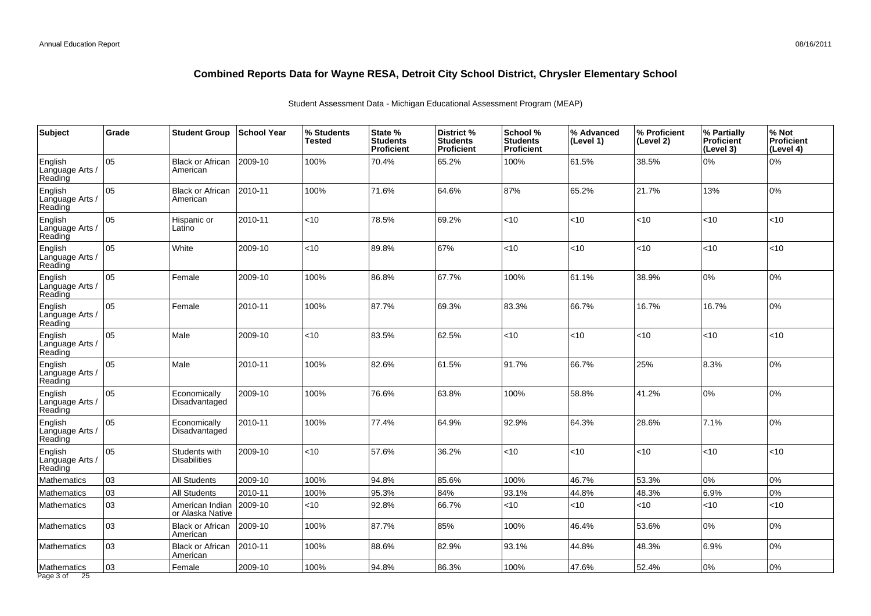| Subject                               | Grade | <b>Student Group</b>                 | <b>School Year</b> | % Students<br><b>Tested</b> | State %<br><b>Students</b><br>Proficient | District %<br><b>Students</b><br>Proficient | School %<br><b>Students</b><br><b>Proficient</b> | % Advanced<br>(Level 1) | % Proficient<br>(Level 2) | % Partially<br><b>Proficient</b><br>(Level 3) | % Not<br>Proficient<br>(Level 4) |
|---------------------------------------|-------|--------------------------------------|--------------------|-----------------------------|------------------------------------------|---------------------------------------------|--------------------------------------------------|-------------------------|---------------------------|-----------------------------------------------|----------------------------------|
| English<br>Language Arts /<br>Reading | 05    | <b>Black or African</b><br>American  | 2009-10            | 100%                        | 70.4%                                    | 65.2%                                       | 100%                                             | 61.5%                   | 38.5%                     | $0\%$                                         | 0%                               |
| English<br>Language Arts /<br>Reading | 05    | <b>Black or African</b><br>American  | 2010-11            | 100%                        | 71.6%                                    | 64.6%                                       | 87%                                              | 65.2%                   | 21.7%                     | 13%                                           | 0%                               |
| English<br>Language Arts /<br>Reading | 05    | Hispanic or<br>Latino                | 2010-11            | $<$ 10                      | 78.5%                                    | 69.2%                                       | < 10                                             | < 10                    | < 10                      | <10                                           | <10                              |
| English<br>Language Arts /<br>Reading | 05    | White                                | 2009-10            | $<$ 10                      | 89.8%                                    | 67%                                         | <10                                              | < 10                    | <10                       | <10                                           | <10                              |
| English<br>Language Arts /<br>Reading | 05    | Female                               | 2009-10            | 100%                        | 86.8%                                    | 67.7%                                       | 100%                                             | 61.1%                   | 38.9%                     | 0%                                            | 0%                               |
| English<br>Language Arts /<br>Reading | 05    | Female                               | 2010-11            | 100%                        | 87.7%                                    | 69.3%                                       | 83.3%                                            | 66.7%                   | 16.7%                     | 16.7%                                         | 0%                               |
| English<br>Language Arts /<br>Reading | 05    | Male                                 | 2009-10            | $<$ 10                      | 83.5%                                    | 62.5%                                       | < 10                                             | < 10                    | <10                       | <10                                           | <10                              |
| English<br>Language Arts /<br>Reading | 05    | Male                                 | 2010-11            | 100%                        | 82.6%                                    | 61.5%                                       | 91.7%                                            | 66.7%                   | 25%                       | 8.3%                                          | 0%                               |
| English<br>Language Arts /<br>Reading | 05    | Economically<br>Disadvantaged        | 2009-10            | 100%                        | 76.6%                                    | 63.8%                                       | 100%                                             | 58.8%                   | 41.2%                     | 0%                                            | 0%                               |
| English<br>Language Arts /<br>Reading | 05    | Economically<br>Disadvantaged        | 2010-11            | 100%                        | 77.4%                                    | 64.9%                                       | 92.9%                                            | 64.3%                   | 28.6%                     | 7.1%                                          | 0%                               |
| English<br>Language Arts /<br>Reading | 05    | Students with<br><b>Disabilities</b> | 2009-10            | $<$ 10                      | 57.6%                                    | 36.2%                                       | < 10                                             | < 10                    | <10                       | <10                                           | $<$ 10                           |
| Mathematics                           | 03    | <b>All Students</b>                  | 2009-10            | 100%                        | 94.8%                                    | 85.6%                                       | 100%                                             | 46.7%                   | 53.3%                     | 0%                                            | 0%                               |
| Mathematics                           | 03    | <b>All Students</b>                  | 2010-11            | 100%                        | 95.3%                                    | 84%                                         | 93.1%                                            | 44.8%                   | 48.3%                     | 6.9%                                          | 0%                               |
| Mathematics                           | 03    | American Indian<br>or Alaska Native  | 2009-10            | $<$ 10                      | 92.8%                                    | 66.7%                                       | $<$ 10                                           | < 10                    | <10                       | <10                                           | < 10                             |
| <b>Mathematics</b>                    | 03    | <b>Black or African</b><br>American  | 2009-10            | 100%                        | 87.7%                                    | 85%                                         | 100%                                             | 46.4%                   | 53.6%                     | 0%                                            | 0%                               |
| Mathematics                           | 03    | <b>Black or African</b><br>American  | 2010-11            | 100%                        | 88.6%                                    | 82.9%                                       | 93.1%                                            | 44.8%                   | 48.3%                     | 6.9%                                          | 0%                               |
| Mathematics<br>Page 3 of<br>25        | 03    | Female                               | 2009-10            | 100%                        | 94.8%                                    | 86.3%                                       | 100%                                             | 47.6%                   | 52.4%                     | 0%                                            | 0%                               |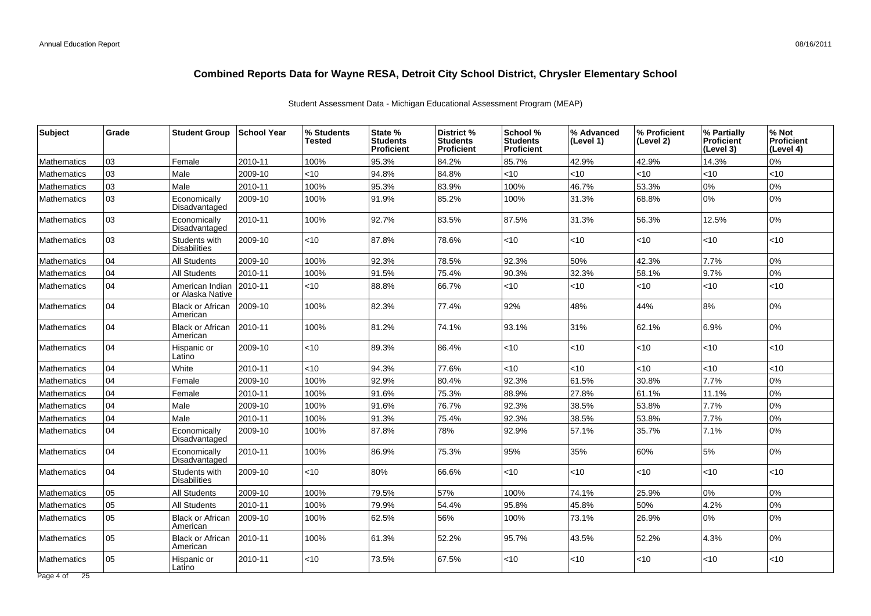| <b>Subject</b>     | Grade | <b>Student Group</b>                 | School Year | % Students<br>Tested | State %<br><b>Students</b><br><b>Proficient</b> | District %<br><b>Students</b><br>Proficient | School %<br><b>Students</b><br><b>Proficient</b> | % Advanced<br>(Level 1) | % Proficient<br>(Level 2) | % Partially<br><b>Proficient</b><br>(Level 3) | % Not<br><b>Proficient</b><br>(Level 4) |
|--------------------|-------|--------------------------------------|-------------|----------------------|-------------------------------------------------|---------------------------------------------|--------------------------------------------------|-------------------------|---------------------------|-----------------------------------------------|-----------------------------------------|
| <b>Mathematics</b> | 03    | Female                               | 2010-11     | 100%                 | 95.3%                                           | 84.2%                                       | 85.7%                                            | 42.9%                   | 42.9%                     | 14.3%                                         | 0%                                      |
| <b>Mathematics</b> | 03    | Male                                 | 2009-10     | <10                  | 94.8%                                           | 84.8%                                       | $<$ 10                                           | < 10                    | <10                       | <10                                           | <10                                     |
| <b>Mathematics</b> | 03    | Male                                 | 2010-11     | 100%                 | 95.3%                                           | 83.9%                                       | 100%                                             | 46.7%                   | 53.3%                     | 0%                                            | 0%                                      |
| <b>Mathematics</b> | 03    | Economically<br>Disadvantaged        | 2009-10     | 100%                 | 91.9%                                           | 85.2%                                       | 100%                                             | 31.3%                   | 68.8%                     | 0%                                            | 0%                                      |
| <b>Mathematics</b> | 03    | Economically<br>Disadvantaged        | 2010-11     | 100%                 | 92.7%                                           | 83.5%                                       | 87.5%                                            | 31.3%                   | 56.3%                     | 12.5%                                         | 0%                                      |
| <b>Mathematics</b> | 03    | Students with<br><b>Disabilities</b> | 2009-10     | <10                  | 87.8%                                           | 78.6%                                       | <10                                              | < 10                    | <10                       | $<$ 10                                        | $<$ 10                                  |
| <b>Mathematics</b> | 04    | All Students                         | 2009-10     | 100%                 | 92.3%                                           | 78.5%                                       | 92.3%                                            | 50%                     | 42.3%                     | 7.7%                                          | 0%                                      |
| <b>Mathematics</b> | 04    | <b>All Students</b>                  | 2010-11     | 100%                 | 91.5%                                           | 75.4%                                       | 90.3%                                            | 32.3%                   | 58.1%                     | 9.7%                                          | 0%                                      |
| <b>Mathematics</b> | 04    | American Indian<br>or Alaska Native  | 2010-11     | <10                  | 88.8%                                           | 66.7%                                       | <10                                              | < 10                    | <10                       | <10                                           | <10                                     |
| <b>Mathematics</b> | 04    | <b>Black or African</b><br>American  | 2009-10     | 100%                 | 82.3%                                           | 77.4%                                       | 92%                                              | 48%                     | 44%                       | 8%                                            | 0%                                      |
| <b>Mathematics</b> | 04    | <b>Black or African</b><br>American  | 2010-11     | 100%                 | 81.2%                                           | 74.1%                                       | 93.1%                                            | 31%                     | 62.1%                     | 6.9%                                          | 0%                                      |
| <b>Mathematics</b> | 04    | Hispanic or<br>Latino                | 2009-10     | <10                  | 89.3%                                           | 86.4%                                       | < 10                                             | <10                     | <10                       | $<10$                                         | <10                                     |
| <b>Mathematics</b> | 04    | White                                | 2010-11     | <10                  | 94.3%                                           | 77.6%                                       | $<$ 10                                           | <10                     | $<$ 10                    | < 10                                          | $<$ 10                                  |
| <b>Mathematics</b> | 04    | Female                               | 2009-10     | 100%                 | 92.9%                                           | 80.4%                                       | 92.3%                                            | 61.5%                   | 30.8%                     | 7.7%                                          | 0%                                      |
| Mathematics        | 04    | Female                               | 2010-11     | 100%                 | 91.6%                                           | 75.3%                                       | 88.9%                                            | 27.8%                   | 61.1%                     | 11.1%                                         | 0%                                      |
| Mathematics        | 04    | Male                                 | 2009-10     | 100%                 | 91.6%                                           | 76.7%                                       | 92.3%                                            | 38.5%                   | 53.8%                     | 7.7%                                          | 0%                                      |
| <b>Mathematics</b> | 04    | Male                                 | 2010-11     | 100%                 | 91.3%                                           | 75.4%                                       | 92.3%                                            | 38.5%                   | 53.8%                     | 7.7%                                          | 0%                                      |
| <b>Mathematics</b> | 04    | Economically<br>Disadvantaged        | 2009-10     | 100%                 | 87.8%                                           | 78%                                         | 92.9%                                            | 57.1%                   | 35.7%                     | 7.1%                                          | 0%                                      |
| <b>Mathematics</b> | 04    | Economically<br>Disadvantaged        | 2010-11     | 100%                 | 86.9%                                           | 75.3%                                       | 95%                                              | 35%                     | 60%                       | 5%                                            | 0%                                      |
| <b>Mathematics</b> | 04    | Students with<br><b>Disabilities</b> | 2009-10     | <10                  | 80%                                             | 66.6%                                       | <10                                              | $<$ 10                  | <10                       | < 10                                          | <10                                     |
| <b>Mathematics</b> | 05    | <b>All Students</b>                  | 2009-10     | 100%                 | 79.5%                                           | 57%                                         | 100%                                             | 74.1%                   | 25.9%                     | 0%                                            | 0%                                      |
| Mathematics        | 05    | <b>All Students</b>                  | 2010-11     | 100%                 | 79.9%                                           | 54.4%                                       | 95.8%                                            | 45.8%                   | 50%                       | 4.2%                                          | 0%                                      |
| <b>Mathematics</b> | 05    | <b>Black or African</b><br>American  | 2009-10     | 100%                 | 62.5%                                           | 56%                                         | 100%                                             | 73.1%                   | 26.9%                     | 0%                                            | 0%                                      |
| Mathematics        | 05    | <b>Black or African</b><br>American  | 2010-11     | 100%                 | 61.3%                                           | 52.2%                                       | 95.7%                                            | 43.5%                   | 52.2%                     | 4.3%                                          | 0%                                      |
| Mathematics        | 05    | Hispanic or<br>Latino                | 2010-11     | <10                  | 73.5%                                           | 67.5%                                       | $<$ 10                                           | $<$ 10                  | $<$ 10                    | ~10                                           | <10                                     |
| Page 4 of 25       |       |                                      |             |                      |                                                 |                                             |                                                  |                         |                           |                                               |                                         |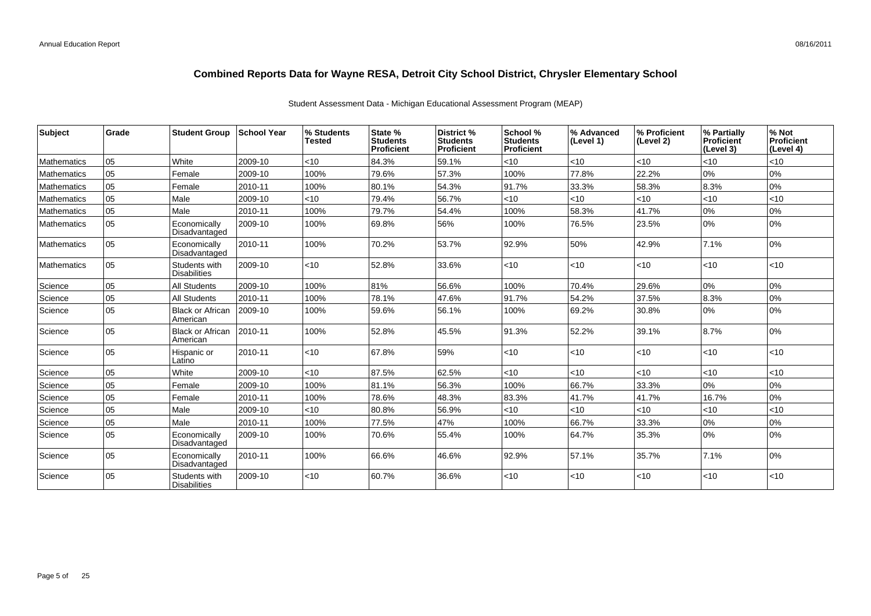| <b>Subject</b>     | Grade | <b>Student Group</b>                 | ∣School Year | % Students<br><b>Tested</b> | State %<br><b>Students</b><br><b>Proficient</b> | District %<br><b>Students</b><br><b>Proficient</b> | School %<br><b>Students</b><br><b>Proficient</b> | % Advanced<br>(Level 1) | ∣% Proficient<br>(Level 2) | % Partially<br><b>Proficient</b><br>(Level 3) | % Not<br>Proficient<br>(Level 4) |
|--------------------|-------|--------------------------------------|--------------|-----------------------------|-------------------------------------------------|----------------------------------------------------|--------------------------------------------------|-------------------------|----------------------------|-----------------------------------------------|----------------------------------|
| <b>Mathematics</b> | 05    | White                                | 2009-10      | < 10                        | 84.3%                                           | 59.1%                                              | < 10                                             | < 10                    | <10                        | $ $ < 10                                      | <10                              |
| <b>Mathematics</b> | 05    | Female                               | 2009-10      | 100%                        | 79.6%                                           | 57.3%                                              | 100%                                             | 77.8%                   | 22.2%                      | 0%                                            | 0%                               |
| Mathematics        | 05    | Female                               | 2010-11      | 100%                        | 80.1%                                           | 54.3%                                              | 91.7%                                            | 33.3%                   | 58.3%                      | 8.3%                                          | 0%                               |
| Mathematics        | 05    | Male                                 | 2009-10      | $<$ 10                      | 79.4%                                           | 56.7%                                              | $<$ 10                                           | < 10                    | $<$ 10                     | $ $ < 10                                      | $<$ 10                           |
| <b>Mathematics</b> | 05    | Male                                 | 2010-11      | 100%                        | 79.7%                                           | 54.4%                                              | 100%                                             | 58.3%                   | 41.7%                      | 0%                                            | 0%                               |
| <b>Mathematics</b> | 05    | Economically<br>Disadvantaged        | 2009-10      | 100%                        | 69.8%                                           | 56%                                                | 100%                                             | 76.5%                   | 23.5%                      | 0%                                            | 0%                               |
| <b>Mathematics</b> | 05    | Economically<br>Disadvantaged        | 2010-11      | 100%                        | 70.2%                                           | 53.7%                                              | 92.9%                                            | 50%                     | 42.9%                      | 7.1%                                          | 0%                               |
| <b>Mathematics</b> | 05    | Students with<br><b>Disabilities</b> | 2009-10      | $<$ 10                      | 52.8%                                           | 33.6%                                              | $<$ 10                                           | < 10                    | $<$ 10                     | $ $ < 10                                      | <10                              |
| Science            | 05    | <b>All Students</b>                  | 2009-10      | 100%                        | 81%                                             | 56.6%                                              | 100%                                             | 70.4%                   | 29.6%                      | 0%                                            | 0%                               |
| Science            | 05    | <b>All Students</b>                  | 2010-11      | 100%                        | 78.1%                                           | 47.6%                                              | 91.7%                                            | 54.2%                   | 37.5%                      | 8.3%                                          | $0\%$                            |
| Science            | 05    | <b>Black or African</b><br>American  | 2009-10      | 100%                        | 59.6%                                           | 56.1%                                              | 100%                                             | 69.2%                   | 30.8%                      | 0%                                            | 0%                               |
| Science            | 05    | <b>Black or African</b><br>American  | 2010-11      | 100%                        | 52.8%                                           | 45.5%                                              | 91.3%                                            | 52.2%                   | 39.1%                      | 8.7%                                          | 0%                               |
| Science            | 05    | Hispanic or<br>Latino                | 2010-11      | $<$ 10                      | 67.8%                                           | 59%                                                | < 10                                             | < 10                    | $<$ 10                     | $ $ < 10                                      | <10                              |
| Science            | 05    | White                                | 2009-10      | $<10$                       | 87.5%                                           | 62.5%                                              | $<$ 10                                           | < 10                    | <10                        | $ $ < 10                                      | <10                              |
| Science            | 05    | Female                               | 2009-10      | 100%                        | 81.1%                                           | 56.3%                                              | 100%                                             | 66.7%                   | 33.3%                      | 0%                                            | $0\%$                            |
| Science            | 05    | Female                               | 2010-11      | 100%                        | 78.6%                                           | 48.3%                                              | 83.3%                                            | 41.7%                   | 41.7%                      | 16.7%                                         | 0%                               |
| Science            | 05    | Male                                 | 2009-10      | $<$ 10                      | 80.8%                                           | 56.9%                                              | $<$ 10                                           | < 10                    | $<$ 10                     | $ $ < 10                                      | <10                              |
| Science            | 05    | Male                                 | 2010-11      | 100%                        | 77.5%                                           | 47%                                                | 100%                                             | 66.7%                   | 33.3%                      | 0%                                            | 0%                               |
| Science            | 05    | Economically<br>Disadvantaged        | 2009-10      | 100%                        | 70.6%                                           | 55.4%                                              | 100%                                             | 64.7%                   | 35.3%                      | 0%                                            | 0%                               |
| Science            | 05    | Economically<br>Disadvantaged        | 2010-11      | 100%                        | 66.6%                                           | 46.6%                                              | 92.9%                                            | 57.1%                   | 35.7%                      | 7.1%                                          | 0%                               |
| Science            | 05    | Students with<br><b>Disabilities</b> | 2009-10      | $ $ < 10                    | 60.7%                                           | 36.6%                                              | < 10                                             | < 10                    | $<$ 10                     | $ $ < 10                                      | < 10                             |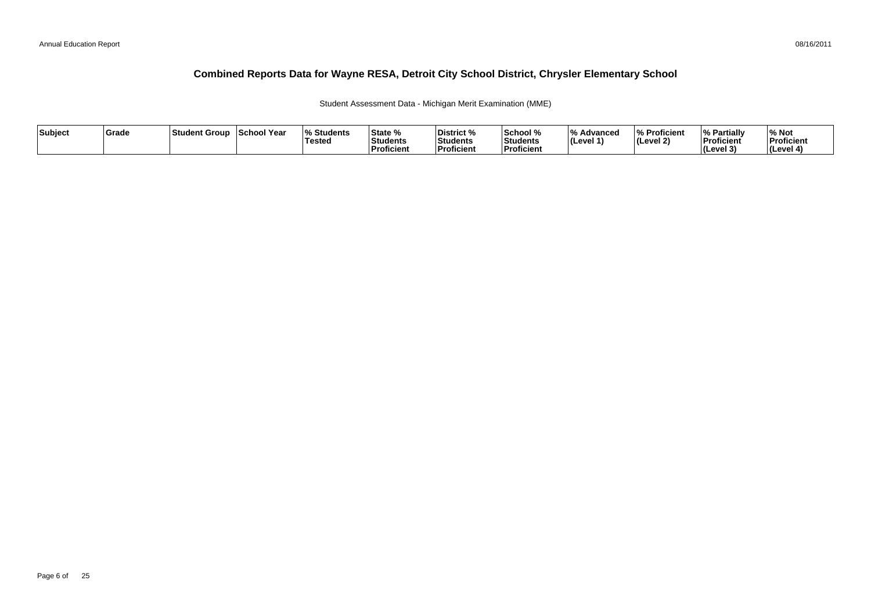Student Assessment Data - Michigan Merit Examination (MME)

| Subject | Grade | Student Group | <b>School Year</b> | <b>Students</b><br>Tested | State %<br>Students<br>Proficient | District %<br>Students<br><b>Proficient</b> | School %<br>Students<br>Proficient | $\overline{0}$<br>Advancec<br>$ $ (Level 1) | % Proficient<br> (Level 2) | % Partially<br>Proficient<br><b>I</b> Cevel 3<br>. . | ∕∘ Not<br>Proficient<br>(Level 4) |
|---------|-------|---------------|--------------------|---------------------------|-----------------------------------|---------------------------------------------|------------------------------------|---------------------------------------------|----------------------------|------------------------------------------------------|-----------------------------------|
|---------|-------|---------------|--------------------|---------------------------|-----------------------------------|---------------------------------------------|------------------------------------|---------------------------------------------|----------------------------|------------------------------------------------------|-----------------------------------|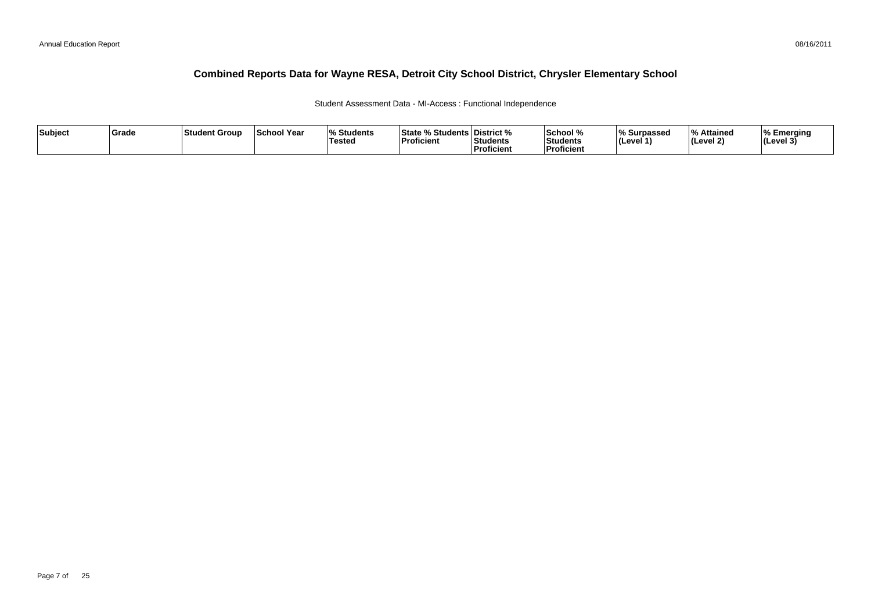Student Assessment Data - MI-Access : Functional Independence

| Subject | <b>Srade</b> | <b>Student Group</b> | <b>School Year</b> | $\Omega$<br><b>Students</b><br>Tested | <b>State % Students District %</b><br><b>Proficient</b> | <b>Students</b><br>Proficient | School %<br><b>Students</b><br><b>Proficient</b> | % Surpassed<br>(Level 1 | l 0/<br>Attained<br>(Level 2) | Emerging<br>$ $ (Level 3' |
|---------|--------------|----------------------|--------------------|---------------------------------------|---------------------------------------------------------|-------------------------------|--------------------------------------------------|-------------------------|-------------------------------|---------------------------|
|---------|--------------|----------------------|--------------------|---------------------------------------|---------------------------------------------------------|-------------------------------|--------------------------------------------------|-------------------------|-------------------------------|---------------------------|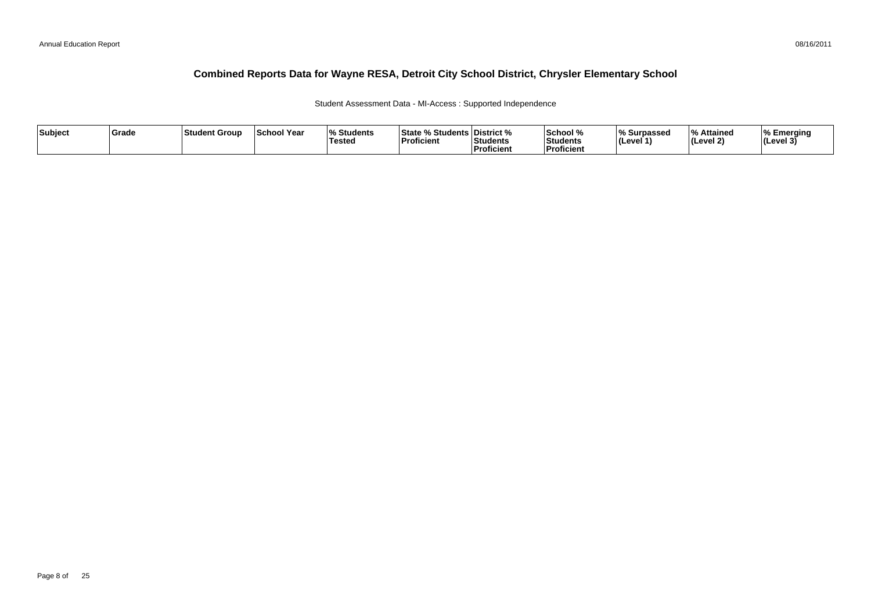Student Assessment Data - MI-Access : Supported Independence

| Subject | <b>Grade</b> | <b>Student Group</b> | <b>School Year</b> | $\Omega$<br><b>Students</b><br> Tested | <b>State % Students District %</b><br><sup>⊥</sup> Proficient | <b>Students</b><br>ˈProficient | School %<br><b>Students</b><br>Proficien | % Surpassed<br>ILevel 1 | l 0/<br>Attained<br>(Level 2) | Emerging<br>$ $ (Level 3 <sup>1</sup> ) |
|---------|--------------|----------------------|--------------------|----------------------------------------|---------------------------------------------------------------|--------------------------------|------------------------------------------|-------------------------|-------------------------------|-----------------------------------------|
|---------|--------------|----------------------|--------------------|----------------------------------------|---------------------------------------------------------------|--------------------------------|------------------------------------------|-------------------------|-------------------------------|-----------------------------------------|

08/16/2011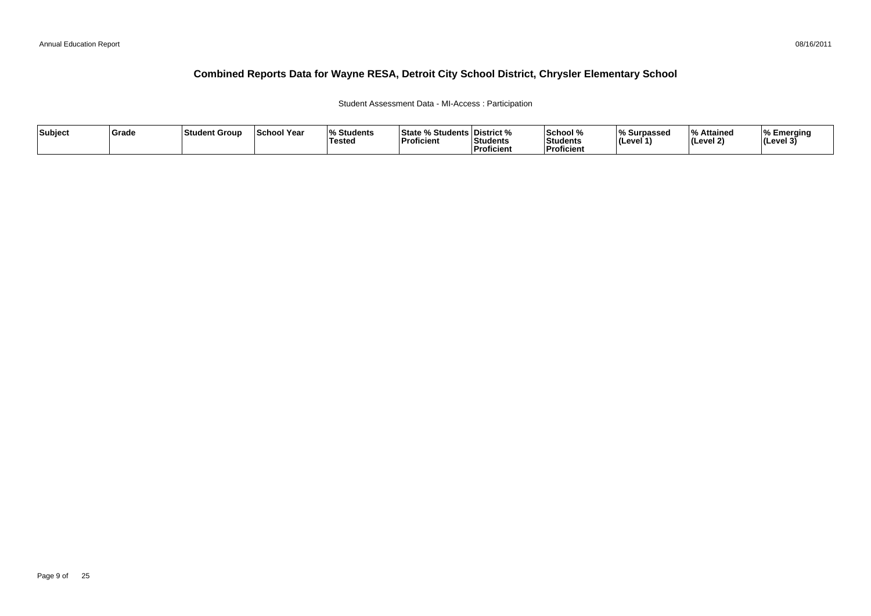#### Student Assessment Data - MI-Access : Participation

| Subject | ∣Grade | <b>Student Group</b> | ∣School Year | $\mathbf{a}$<br>Students<br>'Tested | <sup>৹⁄</sup> Students ∟<br>State<br><b>Proficient</b> | ∣District %<br>Students<br><sup>'</sup> Proficient | School %<br>Students<br><b>Proficien</b> | % Surpassed<br>∣(Level 1` | $\overline{\mathbf{0}}$<br>% Attained<br>(Level 2) | Emerging<br> (Level 3 |
|---------|--------|----------------------|--------------|-------------------------------------|--------------------------------------------------------|----------------------------------------------------|------------------------------------------|---------------------------|----------------------------------------------------|-----------------------|
|---------|--------|----------------------|--------------|-------------------------------------|--------------------------------------------------------|----------------------------------------------------|------------------------------------------|---------------------------|----------------------------------------------------|-----------------------|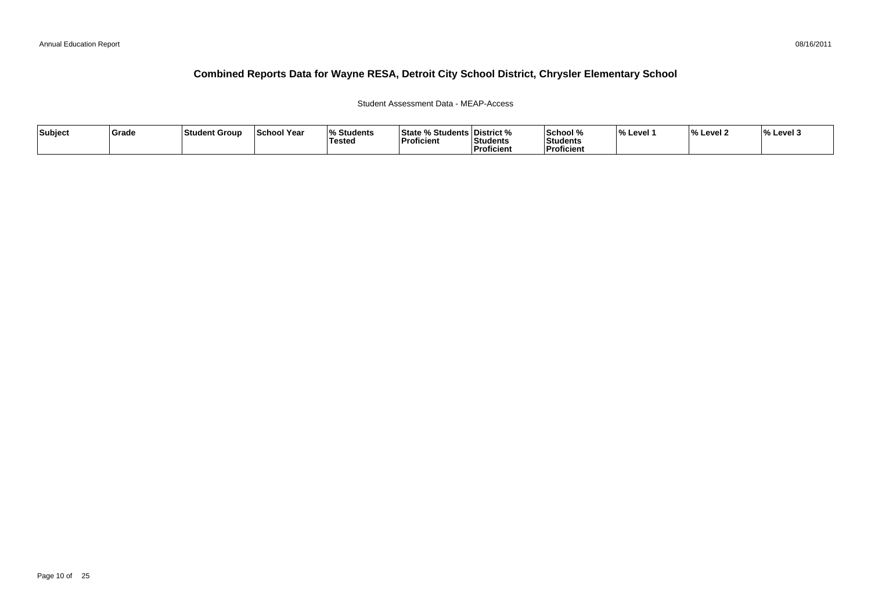### Student Assessment Data - MEAP-Access

| Subject | ∣Grade | ⊺Student Group | <b>School Year</b> | <b>Students</b><br>Tested | <b>State % Students District %</b><br>Proficient | <b>Students</b><br><b>Proficient</b> | School %<br><b>Students</b><br>Proficient | <b>Level</b> | $\mathbf{a}$<br>. Level 7 | $\frac{1}{6}$ Level 3 |
|---------|--------|----------------|--------------------|---------------------------|--------------------------------------------------|--------------------------------------|-------------------------------------------|--------------|---------------------------|-----------------------|
|---------|--------|----------------|--------------------|---------------------------|--------------------------------------------------|--------------------------------------|-------------------------------------------|--------------|---------------------------|-----------------------|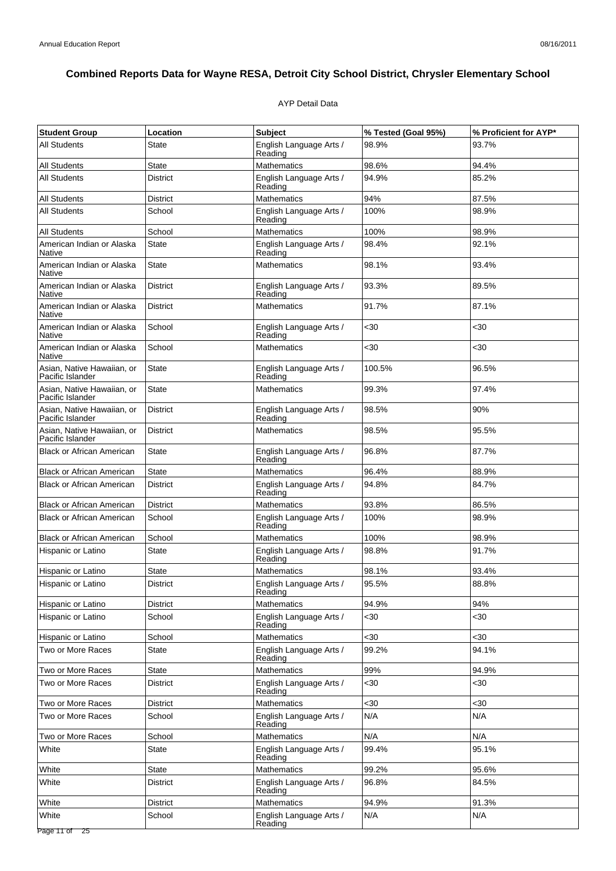### AYP Detail Data

| <b>Student Group</b>                           | Location        | <b>Subject</b>                     | % Tested (Goal 95%) | % Proficient for AYP* |
|------------------------------------------------|-----------------|------------------------------------|---------------------|-----------------------|
| <b>All Students</b>                            | State           | English Language Arts /<br>Reading | 98.9%               | 93.7%                 |
| <b>All Students</b>                            | <b>State</b>    | <b>Mathematics</b>                 | 98.6%               | 94.4%                 |
| <b>All Students</b>                            | <b>District</b> | English Language Arts /<br>Reading | 94.9%               | 85.2%                 |
| All Students                                   | District        | <b>Mathematics</b>                 | 94%                 | 87.5%                 |
| <b>All Students</b>                            | School          | English Language Arts /<br>Reading | 100%                | 98.9%                 |
| <b>All Students</b>                            | School          | Mathematics                        | 100%                | 98.9%                 |
| American Indian or Alaska<br>Native            | <b>State</b>    | English Language Arts /<br>Reading | 98.4%               | 92.1%                 |
| American Indian or Alaska<br>Native            | <b>State</b>    | <b>Mathematics</b>                 | 98.1%               | 93.4%                 |
| American Indian or Alaska<br>Native            | <b>District</b> | English Language Arts /<br>Reading | 93.3%               | 89.5%                 |
| American Indian or Alaska<br>Native            | <b>District</b> | <b>Mathematics</b>                 | 91.7%               | 87.1%                 |
| American Indian or Alaska<br>Native            | School          | English Language Arts /<br>Reading | $30$                | $30$                  |
| American Indian or Alaska<br>Native            | School          | <b>Mathematics</b>                 | $30$                | $30$                  |
| Asian, Native Hawaiian, or<br>Pacific Islander | <b>State</b>    | English Language Arts /<br>Reading | 100.5%              | 96.5%                 |
| Asian. Native Hawaiian. or<br>Pacific Islander | <b>State</b>    | <b>Mathematics</b>                 | 99.3%               | 97.4%                 |
| Asian, Native Hawaiian, or<br>Pacific Islander | <b>District</b> | English Language Arts /<br>Reading | 98.5%               | 90%                   |
| Asian, Native Hawaiian, or<br>Pacific Islander | <b>District</b> | <b>Mathematics</b>                 | 98.5%               | 95.5%                 |
| <b>Black or African American</b>               | <b>State</b>    | English Language Arts /<br>Reading | 96.8%               | 87.7%                 |
| <b>Black or African American</b>               | State           | <b>Mathematics</b>                 | 96.4%               | 88.9%                 |
| <b>Black or African American</b>               | <b>District</b> | English Language Arts /<br>Reading | 94.8%               | 84.7%                 |
| <b>Black or African American</b>               | <b>District</b> | <b>Mathematics</b>                 | 93.8%               | 86.5%                 |
| <b>Black or African American</b>               | School          | English Language Arts /<br>Reading | 100%                | 98.9%                 |
| <b>Black or African American</b>               | School          | <b>Mathematics</b>                 | 100%                | 98.9%                 |
| Hispanic or Latino                             | <b>State</b>    | English Language Arts /<br>Reading | 98.8%               | 91.7%                 |
| Hispanic or Latino                             | State           | <b>Mathematics</b>                 | 98.1%               | 93.4%                 |
| Hispanic or Latino                             | <b>District</b> | English Language Arts /<br>Reading | 95.5%               | 88.8%                 |
| Hispanic or Latino                             | District        | Mathematics                        | 94.9%               | 94%                   |
| Hispanic or Latino                             | School          | English Language Arts /<br>Reading | <30                 | $30$                  |
| Hispanic or Latino                             | School          | <b>Mathematics</b>                 | <30                 | <30                   |
| Two or More Races                              | <b>State</b>    | English Language Arts /<br>Reading | 99.2%               | 94.1%                 |
| Two or More Races                              | State           | <b>Mathematics</b>                 | 99%                 | 94.9%                 |
| Two or More Races                              | District        | English Language Arts /<br>Reading | <30                 | $30$                  |
| Two or More Races                              | <b>District</b> | <b>Mathematics</b>                 | $30$                | <30                   |
| Two or More Races                              | School          | English Language Arts /<br>Reading | N/A                 | N/A                   |
| Two or More Races                              | School          | <b>Mathematics</b>                 | N/A                 | N/A                   |
| White                                          | <b>State</b>    | English Language Arts /<br>Reading | 99.4%               | 95.1%                 |
| White                                          | State           | <b>Mathematics</b>                 | 99.2%               | 95.6%                 |
| White                                          | District        | English Language Arts /<br>Reading | 96.8%               | 84.5%                 |
| White                                          | District        | Mathematics                        | 94.9%               | 91.3%                 |
| White                                          | School          | English Language Arts /<br>Reading | N/A                 | N/A                   |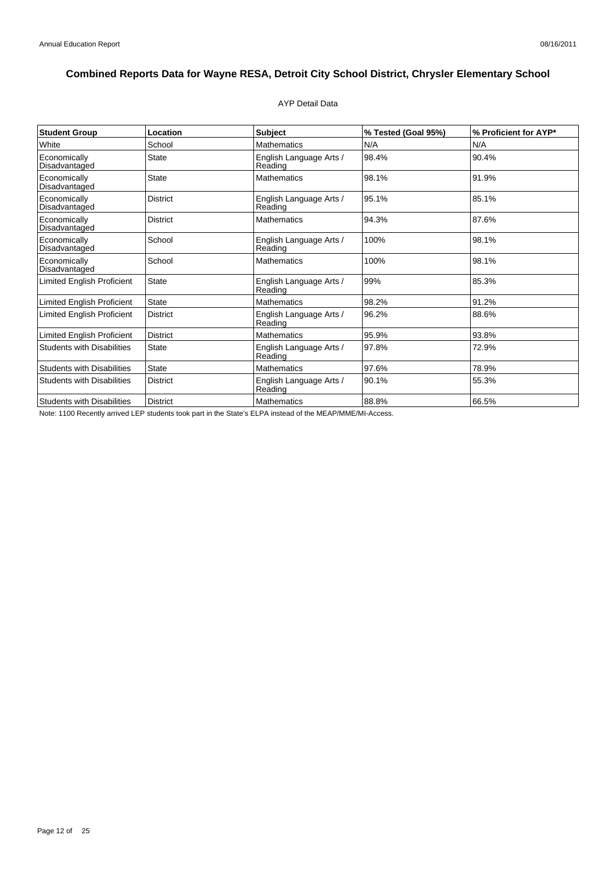### AYP Detail Data

| <b>Student Group</b>              | Location        | <b>Subject</b>                     | % Tested (Goal 95%) | % Proficient for AYP* |
|-----------------------------------|-----------------|------------------------------------|---------------------|-----------------------|
| White                             | School          | <b>Mathematics</b>                 | N/A                 | N/A                   |
| Economically<br>Disadvantaged     | <b>State</b>    | English Language Arts /<br>Reading | 98.4%               | 90.4%                 |
| Economically<br>Disadvantaged     | State           | <b>Mathematics</b>                 | 98.1%               | 91.9%                 |
| Economically<br>Disadvantaged     | <b>District</b> | English Language Arts /<br>Reading | 95.1%               | 85.1%                 |
| Economically<br>Disadvantaged     | <b>District</b> | <b>Mathematics</b>                 | 94.3%               | 87.6%                 |
| Economically<br>Disadvantaged     | School          | English Language Arts /<br>Reading | 100%                | 98.1%                 |
| Economically<br>Disadvantaged     | School          | <b>Mathematics</b>                 | 100%                | 98.1%                 |
| <b>Limited English Proficient</b> | <b>State</b>    | English Language Arts /<br>Reading | 99%                 | 85.3%                 |
| Limited English Proficient        | <b>State</b>    | <b>Mathematics</b>                 | 98.2%               | 91.2%                 |
| <b>Limited English Proficient</b> | <b>District</b> | English Language Arts /<br>Reading | 96.2%               | 88.6%                 |
| Limited English Proficient        | <b>District</b> | <b>Mathematics</b>                 | 95.9%               | 93.8%                 |
| <b>Students with Disabilities</b> | State           | English Language Arts /<br>Reading | 97.8%               | 72.9%                 |
| <b>Students with Disabilities</b> | <b>State</b>    | <b>Mathematics</b>                 | 97.6%               | 78.9%                 |
| <b>Students with Disabilities</b> | <b>District</b> | English Language Arts /<br>Reading | 90.1%               | 55.3%                 |
| <b>Students with Disabilities</b> | District        | <b>Mathematics</b>                 | 88.8%               | 66.5%                 |

Note: 1100 Recently arrived LEP students took part in the State's ELPA instead of the MEAP/MME/MI-Access.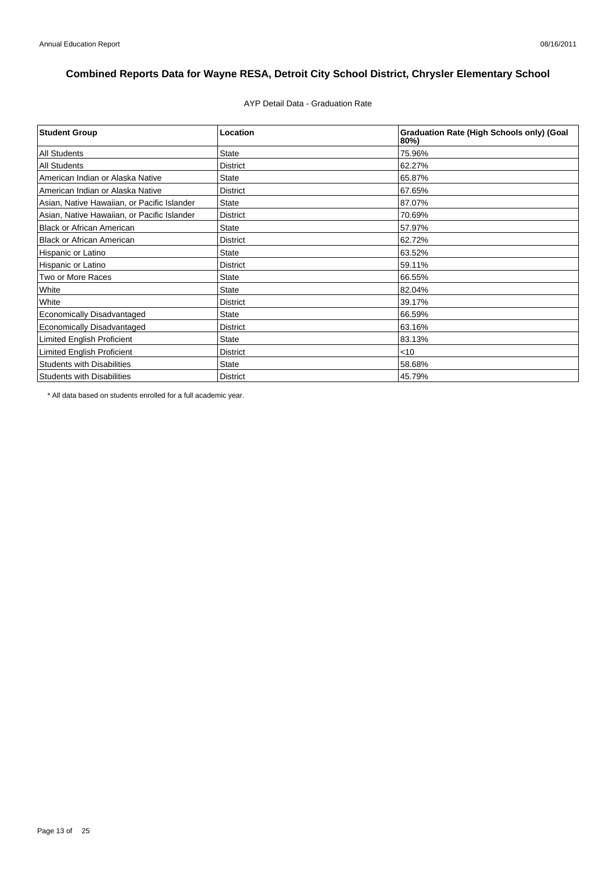AYP Detail Data - Graduation Rate

| <b>Student Group</b>                        | Location        | <b>Graduation Rate (High Schools only) (Goal</b><br>80%) |
|---------------------------------------------|-----------------|----------------------------------------------------------|
| <b>All Students</b>                         | <b>State</b>    | 75.96%                                                   |
| <b>All Students</b>                         | <b>District</b> | 62.27%                                                   |
| American Indian or Alaska Native            | <b>State</b>    | 65.87%                                                   |
| American Indian or Alaska Native            | <b>District</b> | 67.65%                                                   |
| Asian, Native Hawaiian, or Pacific Islander | <b>State</b>    | 87.07%                                                   |
| Asian, Native Hawaiian, or Pacific Islander | <b>District</b> | 70.69%                                                   |
| <b>Black or African American</b>            | <b>State</b>    | 57.97%                                                   |
| <b>Black or African American</b>            | <b>District</b> | 62.72%                                                   |
| Hispanic or Latino                          | <b>State</b>    | 63.52%                                                   |
| Hispanic or Latino                          | <b>District</b> | 59.11%                                                   |
| Two or More Races                           | <b>State</b>    | 66.55%                                                   |
| White                                       | <b>State</b>    | 82.04%                                                   |
| White                                       | <b>District</b> | 39.17%                                                   |
| <b>Economically Disadvantaged</b>           | <b>State</b>    | 66.59%                                                   |
| Economically Disadvantaged                  | <b>District</b> | 63.16%                                                   |
| <b>Limited English Proficient</b>           | <b>State</b>    | 83.13%                                                   |
| <b>Limited English Proficient</b>           | <b>District</b> | $<$ 10                                                   |
| <b>Students with Disabilities</b>           | <b>State</b>    | 58.68%                                                   |
| <b>Students with Disabilities</b>           | <b>District</b> | 45.79%                                                   |

\* All data based on students enrolled for a full academic year.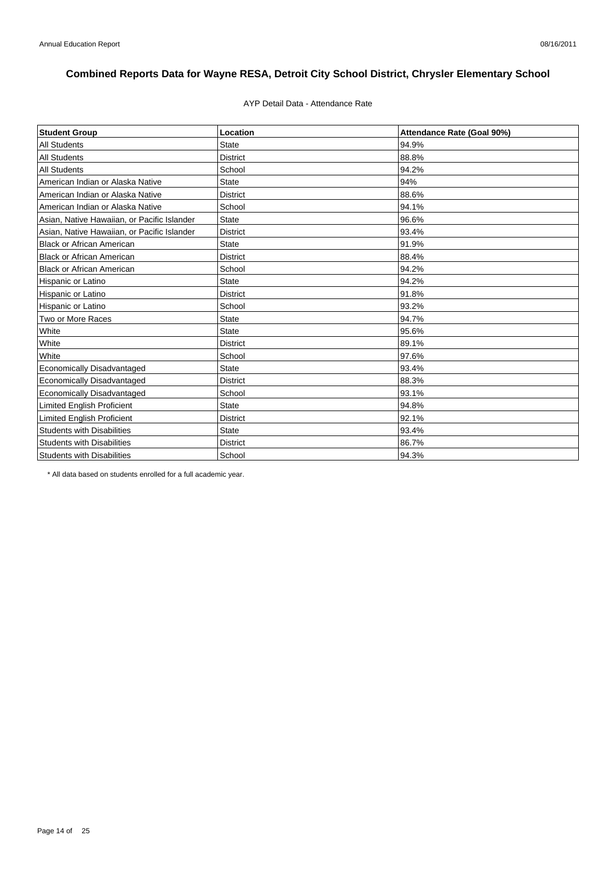### AYP Detail Data - Attendance Rate

| <b>Student Group</b>                        | Location        | Attendance Rate (Goal 90%) |
|---------------------------------------------|-----------------|----------------------------|
| <b>All Students</b>                         | <b>State</b>    | 94.9%                      |
| <b>All Students</b>                         | <b>District</b> | 88.8%                      |
| <b>All Students</b>                         | School          | 94.2%                      |
| American Indian or Alaska Native            | <b>State</b>    | 94%                        |
| American Indian or Alaska Native            | <b>District</b> | 88.6%                      |
| American Indian or Alaska Native            | School          | 94.1%                      |
| Asian, Native Hawaiian, or Pacific Islander | <b>State</b>    | 96.6%                      |
| Asian, Native Hawaiian, or Pacific Islander | <b>District</b> | 93.4%                      |
| <b>Black or African American</b>            | <b>State</b>    | 91.9%                      |
| <b>Black or African American</b>            | <b>District</b> | 88.4%                      |
| <b>Black or African American</b>            | School          | 94.2%                      |
| Hispanic or Latino                          | <b>State</b>    | 94.2%                      |
| Hispanic or Latino                          | <b>District</b> | 91.8%                      |
| Hispanic or Latino                          | School          | 93.2%                      |
| Two or More Races                           | <b>State</b>    | 94.7%                      |
| White                                       | <b>State</b>    | 95.6%                      |
| White                                       | <b>District</b> | 89.1%                      |
| White                                       | School          | 97.6%                      |
| <b>Economically Disadvantaged</b>           | <b>State</b>    | 93.4%                      |
| <b>Economically Disadvantaged</b>           | <b>District</b> | 88.3%                      |
| Economically Disadvantaged                  | School          | 93.1%                      |
| Limited English Proficient                  | <b>State</b>    | 94.8%                      |
| <b>Limited English Proficient</b>           | <b>District</b> | 92.1%                      |
| <b>Students with Disabilities</b>           | <b>State</b>    | 93.4%                      |
| <b>Students with Disabilities</b>           | <b>District</b> | 86.7%                      |
| <b>Students with Disabilities</b>           | School          | 94.3%                      |

\* All data based on students enrolled for a full academic year.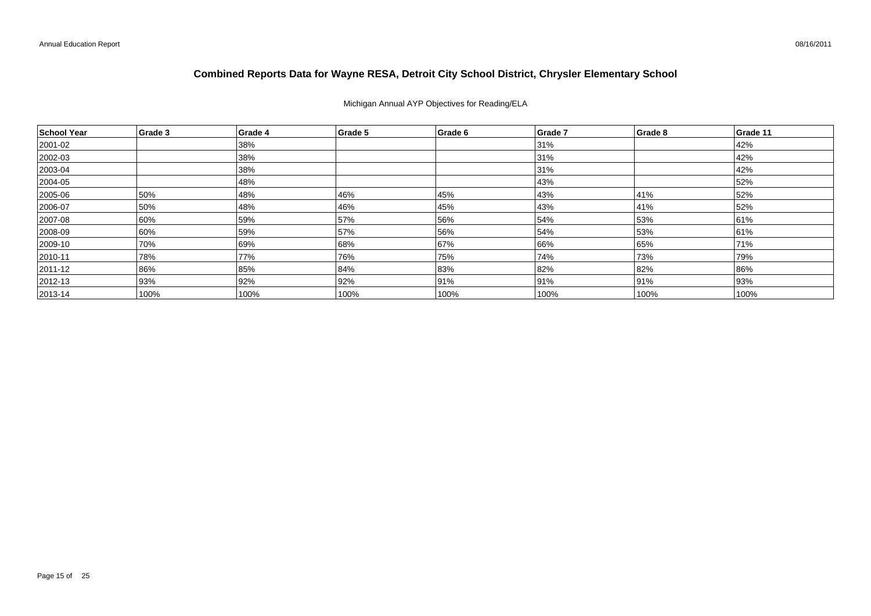### Michigan Annual AYP Objectives for Reading/ELA

| School Year   | Grade 3 | Grade 4 | Grade 5 | Grade 6 | Grade 7 | Grade 8 | Grade 11 |
|---------------|---------|---------|---------|---------|---------|---------|----------|
| 2001-02       |         | 38%     |         |         | 31%     |         | 42%      |
| 2002-03       |         | 38%     |         |         | 31%     |         | 42%      |
| $ 2003 - 04$  |         | 38%     |         |         | 31%     |         | 42%      |
| 2004-05       |         | 48%     |         |         | 43%     |         | 52%      |
| $ 2005 - 06$  | 50%     | 48%     | 46%     | 45%     | 43%     | 41%     | 52%      |
| 2006-07       | 50%     | 48%     | 46%     | 45%     | 43%     | 41%     | 52%      |
| 2007-08       | 60%     | 59%     | 57%     | 56%     | 54%     | 53%     | 61%      |
| 2008-09       | 60%     | 59%     | 57%     | 56%     | 54%     | 53%     | 61%      |
| 2009-10       | 70%     | 69%     | 68%     | 67%     | 66%     | 65%     | 71%      |
| $ 2010 - 11$  | 78%     | 77%     | 76%     | 75%     | 74%     | 73%     | 79%      |
| 2011-12       | 86%     | 85%     | 84%     | 83%     | 82%     | 82%     | 86%      |
| $ 2012 - 13$  | 93%     | 92%     | 92%     | 91%     | 91%     | 91%     | 93%      |
| $ 2013 - 14 $ | 100%    | 100%    | 100%    | 100%    | 100%    | 100%    | 100%     |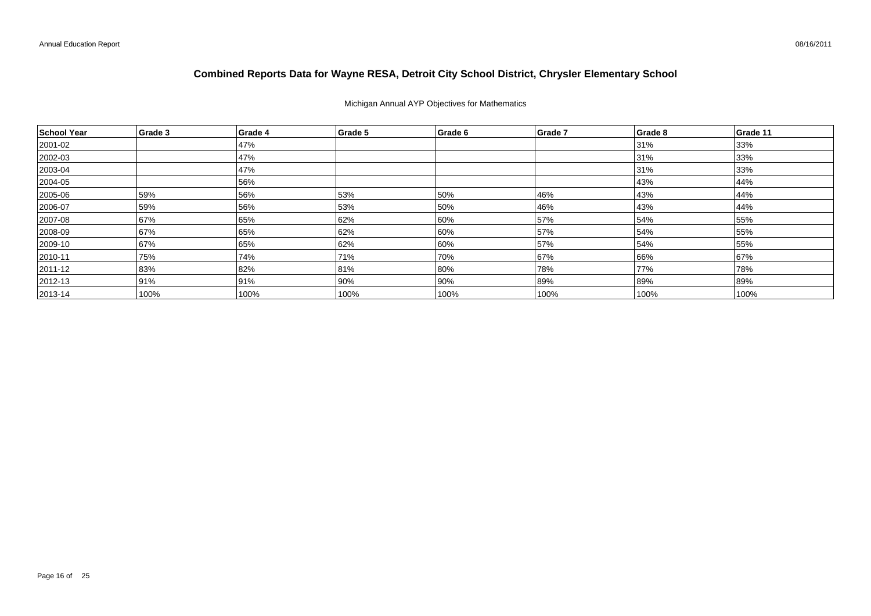### Michigan Annual AYP Objectives for Mathematics

| School Year  | Grade 3 | Grade 4 | Grade 5 | Grade 6 | Grade 7 | Grade 8 | Grade 11 |
|--------------|---------|---------|---------|---------|---------|---------|----------|
| 2001-02      |         | 47%     |         |         |         | 31%     | 33%      |
| 2002-03      |         | 47%     |         |         |         | 31%     | 33%      |
| $ 2003 - 04$ |         | 47%     |         |         |         | 31%     | 33%      |
| 2004-05      |         | 56%     |         |         |         | 43%     | 44%      |
| 2005-06      | 59%     | 56%     | 53%     | 50%     | 46%     | 43%     | 44%      |
| 2006-07      | 59%     | 56%     | 53%     | 50%     | 46%     | 43%     | 44%      |
| 2007-08      | 67%     | 65%     | 62%     | 60%     | 57%     | 54%     | 55%      |
| 2008-09      | 67%     | 65%     | 62%     | 60%     | 57%     | 54%     | 55%      |
| 2009-10      | 67%     | 65%     | 62%     | 60%     | 57%     | 54%     | 55%      |
| $ 2010 - 11$ | 75%     | 74%     | 71%     | 70%     | 67%     | 66%     | 67%      |
| 2011-12      | 83%     | 82%     | 81%     | 80%     | 78%     | 77%     | 78%      |
| $ 2012 - 13$ | 91%     | 91%     | 90%     | 90%     | 89%     | 89%     | 89%      |
| $ 2013 - 14$ | 100%    | 100%    | 100%    | 100%    | 100%    | 100%    | 100%     |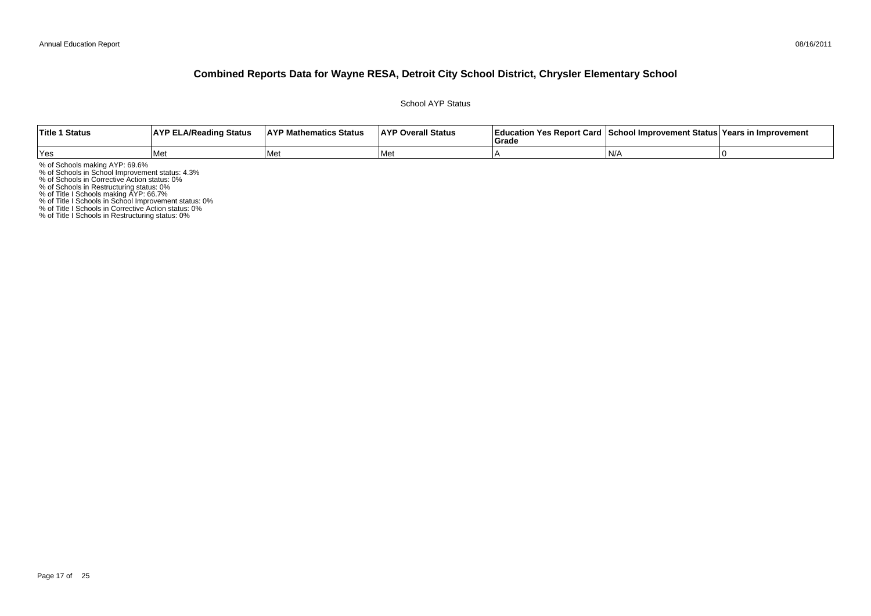School AYP Status

| <b>Title 1 Status</b> | <b>AYP ELA/Reading Status</b> | <b>AYP Mathematics Status</b> | <b>AYP Overall Status</b> | Education Yes Report Card   School Improvement Status   Years in Improvement<br><b>∣Grade</b> |     |  |
|-----------------------|-------------------------------|-------------------------------|---------------------------|-----------------------------------------------------------------------------------------------|-----|--|
| Yes                   | l Met                         | l Met                         | l Met                     |                                                                                               | IN/ |  |

% of Schools making AYP: 69.6%<br>% of Schools in School Improvement status: 4.3%<br>% of Schools in Corrective Action status: 0%<br>% of Schools in Restructuring status: 0%<br>% of Title I Schools in School Improvement status: 0%<br>% o

% of Title I Schools in Restructuring status: 0%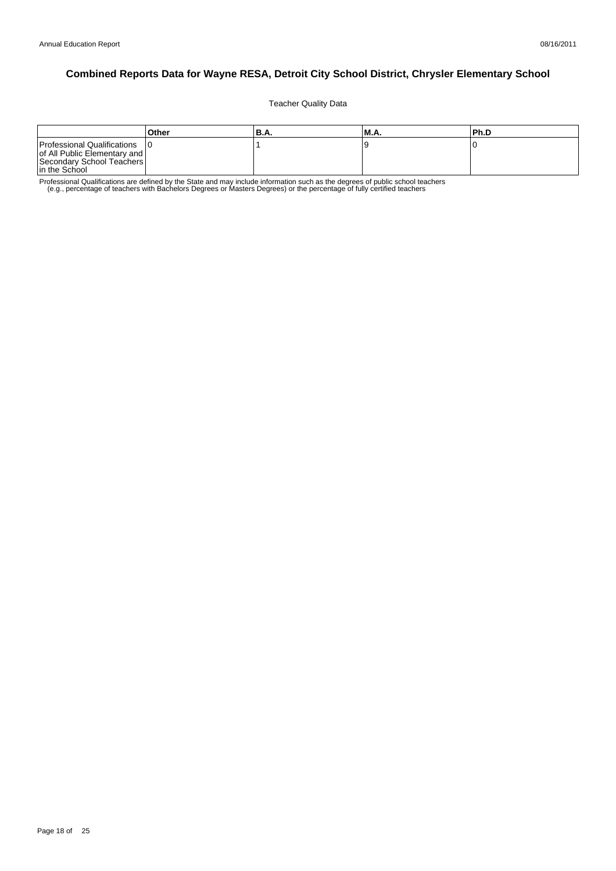Teacher Quality Data

|                                                                                                           | Other | 'B.A. | <b>M.A.</b> | Ph.D |
|-----------------------------------------------------------------------------------------------------------|-------|-------|-------------|------|
| Professional Qualifications<br>of All Public Elementary and<br>Secondary School Teachers<br>In the School |       |       |             |      |

Professional Qualifications are defined by the State and may include information such as the degrees of public school teachers<br>e.g., percentage of teachers with Bachelors Degrees or Masters Degrees) or the percentage of fu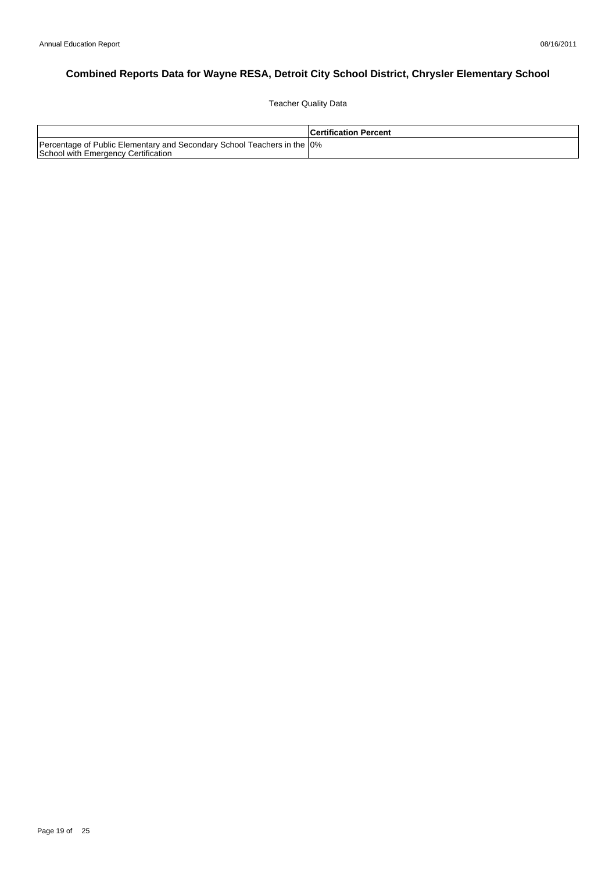Teacher Quality Data

|                                                                                                                 | <b>Certification Percent</b> |
|-----------------------------------------------------------------------------------------------------------------|------------------------------|
| Percentage of Public Elementary and Secondary School Teachers in the 10%<br>School with Emergency Certification |                              |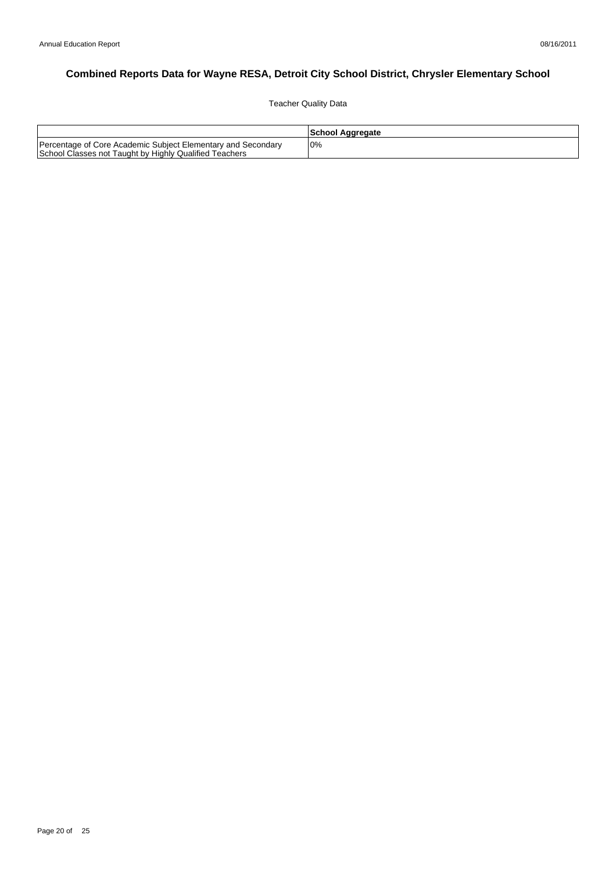Teacher Quality Data

|                                                                                                                        | School Aggregate |
|------------------------------------------------------------------------------------------------------------------------|------------------|
| Percentage of Core Academic Subject Elementary and Secondary<br>School Classes not Taught by Highly Qualified Teachers | 10%              |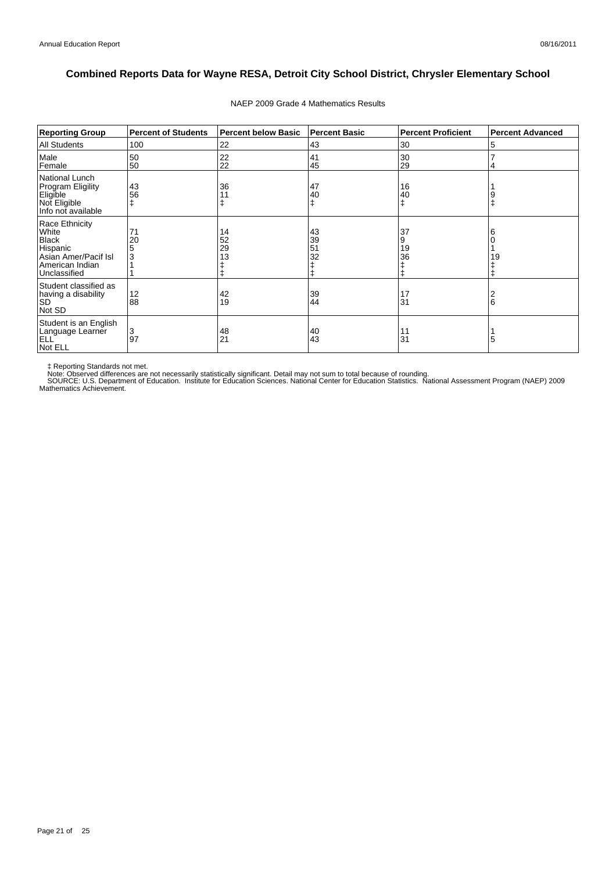| <b>Reporting Group</b>                                                                                         | <b>Percent of Students</b> | <b>Percent below Basic</b> | <b>Percent Basic</b> | <b>Percent Proficient</b> | <b>Percent Advanced</b> |
|----------------------------------------------------------------------------------------------------------------|----------------------------|----------------------------|----------------------|---------------------------|-------------------------|
| <b>All Students</b>                                                                                            | 100                        | 22                         | 43                   | 30                        | 5                       |
| Male<br>Female                                                                                                 | 50<br>50                   | 22<br>22                   | 41<br>45             | 30<br>29                  |                         |
| National Lunch<br>Program Eligility<br>Eligible<br>Not Eligible<br>Info not available                          | 43<br>56                   | 36                         | 47<br>40<br>ŧ        | 16<br>40                  |                         |
| Race Ethnicity<br>White<br><b>Black</b><br>Hispanic<br>Asian Amer/Pacif Isl<br>American Indian<br>Unclassified | 71<br>20<br>5<br>3         | 14<br>52<br>29<br>13       | 43<br>39<br>51<br>32 | 37<br>9<br>19<br>36       | 19                      |
| Student classified as<br>having a disability<br><b>SD</b><br>Not SD                                            | 12<br>88                   | 42<br>19                   | 39<br>44             | 17<br>31                  | 6                       |
| Student is an English<br>Language Learner<br><b>ELL</b><br>Not ELL                                             | 3<br>97                    | 48<br>21                   | 40<br>43             | 11<br>31                  | 5                       |

#### NAEP 2009 Grade 4 Mathematics Results

‡ Reporting Standards not met.<br>Note: Observed differences are not necessarily statistically significant. Detail may not sum to total because of rounding.<br>SOURCE: U.S. Department of Education. Institute for Education Scien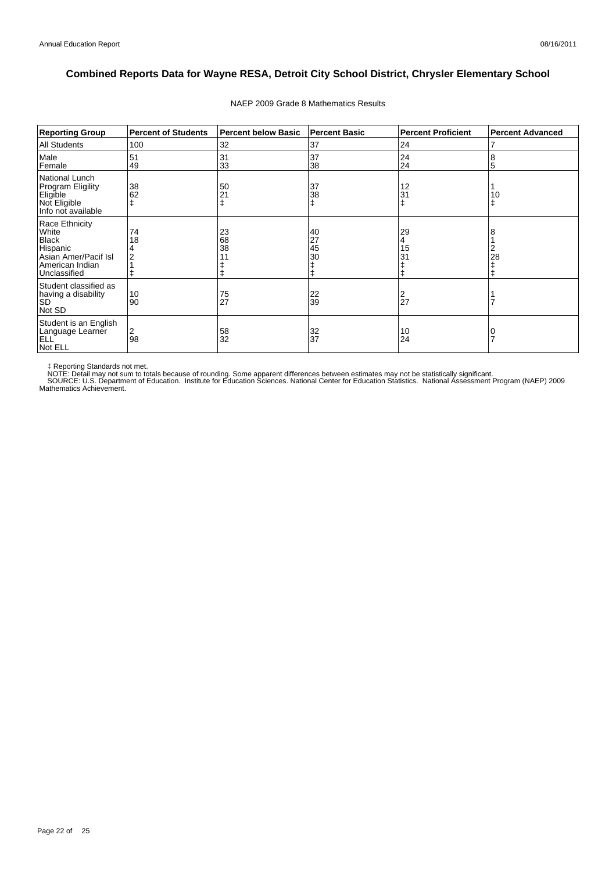| <b>Reporting Group</b>                                                                                         | <b>Percent of Students</b> | <b>Percent below Basic</b> | <b>Percent Basic</b> | <b>Percent Proficient</b> | <b>Percent Advanced</b> |
|----------------------------------------------------------------------------------------------------------------|----------------------------|----------------------------|----------------------|---------------------------|-------------------------|
| All Students                                                                                                   | 100                        | 32                         | 37                   | 24                        |                         |
| Male<br>Female                                                                                                 | 51<br>49                   | 31<br>33                   | 37<br>38             | 24<br>24                  | 8<br>5                  |
| <b>National Lunch</b><br>Program Eligility<br>Eligible<br>Not Eligible<br>Info not available                   | 38<br>62                   | 50<br>21                   | 37<br>38             | 12<br>31                  | 10<br>Ŧ                 |
| Race Ethnicity<br>White<br><b>Black</b><br>Hispanic<br>Asian Amer/Pacif Isl<br>American Indian<br>Unclassified | 74<br>18                   | 23<br>68<br>38             | 40<br>27<br>45<br>30 | 29<br>4<br>15<br>31<br>Ŧ  | 28                      |
| Student classified as<br>having a disability<br><b>SD</b><br>Not SD                                            | 10<br>90                   | 75<br>27                   | 22<br>39             | $\frac{2}{27}$            |                         |
| Student is an English<br>Language Learner<br><b>ELL</b><br>Not ELL                                             | 2<br>98                    | 58<br>32                   | 32<br>37             | 10<br>24                  |                         |

#### NAEP 2009 Grade 8 Mathematics Results

‡ Reporting Standards not met.<br>NOTE: Detail may not sum to totals because of rounding. Some apparent differences between estimates may not be statistically significant.<br>NOTE: Detail may not sum to totals because of roundin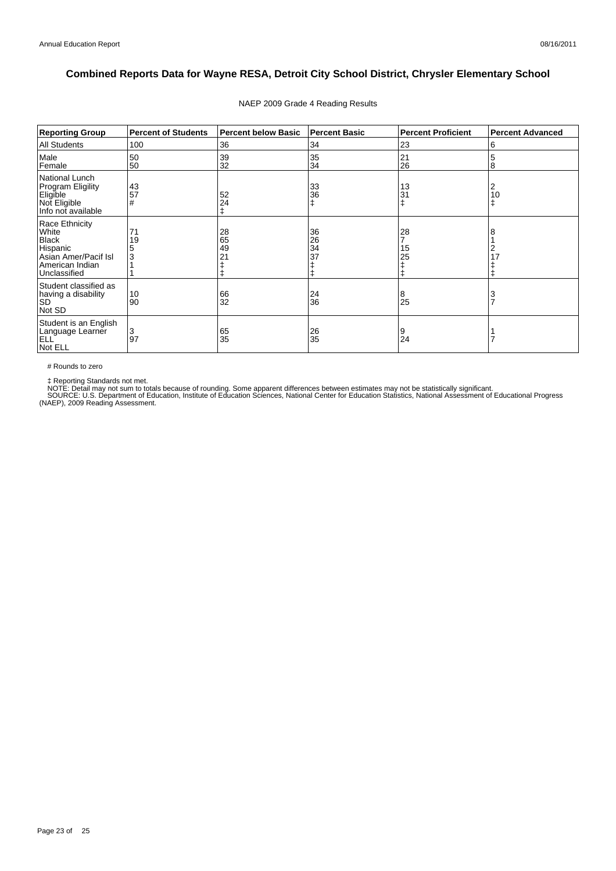| <b>Reporting Group</b>                                                                                         | <b>Percent of Students</b> | <b>Percent below Basic</b> | <b>Percent Basic</b> | <b>Percent Proficient</b> | <b>Percent Advanced</b> |
|----------------------------------------------------------------------------------------------------------------|----------------------------|----------------------------|----------------------|---------------------------|-------------------------|
| <b>All Students</b>                                                                                            | 100                        | 36                         | 34                   | 23                        | 6                       |
| Male<br>Female                                                                                                 | 50<br>50                   | 39<br>32                   | 35<br>34             | 21<br>26                  | 5<br>8                  |
| National Lunch<br><b>Program Eligility</b><br>Eligible<br>Not Eligible<br>Info not available                   | 43<br>57<br>#              | 52<br>24                   | 33<br>36<br>ŧ        | 13<br>31                  | 2<br>10<br>$\ddagger$   |
| Race Ethnicity<br>White<br><b>Black</b><br>Hispanic<br>Asian Amer/Pacif Isl<br>American Indian<br>Unclassified | 71<br>19<br>3              | 28<br>65<br>49<br>21       | 36<br>26<br>34<br>37 | 28<br>15<br>25<br>ŧ       | 8<br>2<br>17            |
| Student classified as<br>having a disability<br><b>SD</b><br>Not SD                                            | 10<br>90                   | 66<br>32                   | 24<br>36             | 8<br>25                   | 3<br>$\overline{7}$     |
| Student is an English<br>Language Learner<br>ELL <sup>'</sup><br>Not ELL                                       | 3<br>97                    | 65<br>35                   | 26<br>35             | 9<br>24                   |                         |

#### NAEP 2009 Grade 4 Reading Results

# Rounds to zero

‡ Reporting Standards not met.<br>NOTE: Detail may not sum to totals because of rounding. Some apparent differences between estimates may not be statistically significant.<br>SOURCE: U.S. Department of Education, Institute of Ed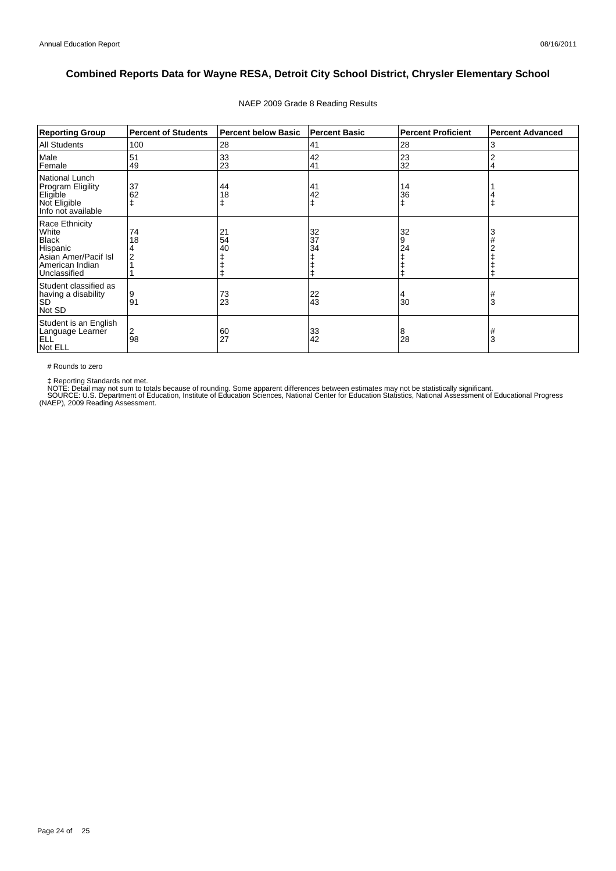| <b>Reporting Group</b>                                                                                         | <b>Percent of Students</b> | <b>Percent below Basic</b> | <b>Percent Basic</b> | <b>Percent Proficient</b> | <b>Percent Advanced</b> |
|----------------------------------------------------------------------------------------------------------------|----------------------------|----------------------------|----------------------|---------------------------|-------------------------|
| <b>All Students</b>                                                                                            | 100                        | 28                         | 41                   | 28                        | 3                       |
| Male<br>Female                                                                                                 | 51<br>49                   | 33<br>23                   | 42<br>41             | 23<br>32                  | $\overline{2}$<br>4     |
| National Lunch<br><b>Program Eligility</b><br>Eligible<br>Not Eligible<br>Info not available                   | 37<br>62                   | 44<br>18                   | 41<br>42<br>ŧ        | 14<br>36<br>ŧ             |                         |
| Race Ethnicity<br>White<br><b>Black</b><br>Hispanic<br>Asian Amer/Pacif Isl<br>American Indian<br>Unclassified | 74<br>18                   | 21<br>54<br>40             | 32<br>37<br>34       | 32<br>9<br>24             | 3                       |
| Student classified as<br>having a disability<br><b>SD</b><br>Not SD                                            | 9<br>91                    | 73<br>23                   | 22<br>43             | 30                        | #<br>3                  |
| Student is an English<br>Language Learner<br>ELL <sup>'</sup><br>Not ELL                                       | 2<br>98                    | 60<br>27                   | 33<br>42             | 8<br>28                   | #<br>3                  |

#### NAEP 2009 Grade 8 Reading Results

# Rounds to zero

‡ Reporting Standards not met.<br>NOTE: Detail may not sum to totals because of rounding. Some apparent differences between estimates may not be statistically significant.<br>SOURCE: U.S. Department of Education, Institute of Ed